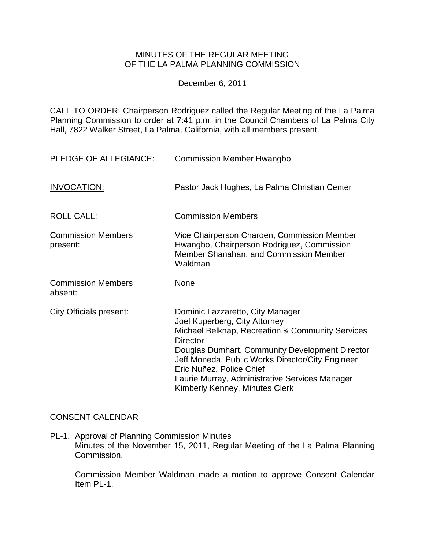### MINUTES OF THE REGULAR MEETING OF THE LA PALMA PLANNING COMMISSION

December 6, 2011

CALL TO ORDER: Chairperson [Rodriguez called the Regular Meeting of the La Palma](http://lapalma.granicus.com/MediaPlayerFrameHandler.php?view_id=&clip_id=629&meta_id=80563)  Planning Commission to order at 7:41 [p.m. in the Council Chambers of La Palma City](http://lapalma.granicus.com/MediaPlayerFrameHandler.php?view_id=&clip_id=629&meta_id=80563)  [Hall, 7822 Walker Street, La Palma, California, with all members present.](http://lapalma.granicus.com/MediaPlayerFrameHandler.php?view_id=&clip_id=629&meta_id=80563)

| PLEDGE OF ALLEGIANCE:                 | <b>Commission Member Hwangbo</b>                                                                                                                                                                                                                                                                                                                                |
|---------------------------------------|-----------------------------------------------------------------------------------------------------------------------------------------------------------------------------------------------------------------------------------------------------------------------------------------------------------------------------------------------------------------|
| <b>INVOCATION:</b>                    | Pastor Jack Hughes, La Palma Christian Center                                                                                                                                                                                                                                                                                                                   |
| ROLL CALL:                            | <b>Commission Members</b>                                                                                                                                                                                                                                                                                                                                       |
| <b>Commission Members</b><br>present: | Vice Chairperson Charoen, Commission Member<br>Hwangbo, Chairperson Rodriguez, Commission<br>Member Shanahan, and Commission Member<br>Waldman                                                                                                                                                                                                                  |
| <b>Commission Members</b><br>absent:  | None                                                                                                                                                                                                                                                                                                                                                            |
| <b>City Officials present:</b>        | Dominic Lazzaretto, City Manager<br>Joel Kuperberg, City Attorney<br>Michael Belknap, Recreation & Community Services<br><b>Director</b><br>Douglas Dumhart, Community Development Director<br>Jeff Moneda, Public Works Director/City Engineer<br>Eric Nuñez, Police Chief<br>Laurie Murray, Administrative Services Manager<br>Kimberly Kenney, Minutes Clerk |

### [CONSENT CALENDAR](http://lapalma.granicus.com/MediaPlayerFrameHandler.php?view_id=&clip_id=629&meta_id=80596)

PL-1. Approval of Planning Commission Minutes Minutes of the November 15, 2011, Regular Meeting of the La Palma Planning Commission.

Commission Member Waldman made a motion to approve Consent Calendar Item PL-1.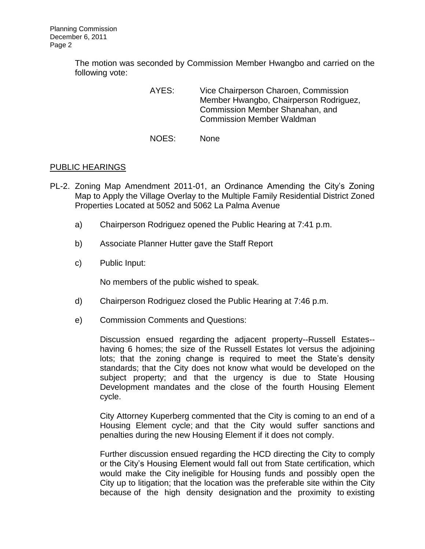The motion was seconded by Commission Member Hwangbo and carried on the following vote:

> AYES: Vice Chairperson Charoen, Commission Member Hwangbo, Chairperson Rodriguez, Commission Member Shanahan, and Commission Member Waldman

NOES: None

#### [PUBLIC HEARINGS](http://lapalma.granicus.com/MediaPlayerFrameHandler.php?view_id=&clip_id=629&meta_id=80599)

- PL-2. [Zoning Map Amendment 2011-01, an Ordinance Amending the City's Zoning](http://lapalma.granicus.com/MediaPlayerFrameHandler.php?view_id=&clip_id=629&meta_id=80600)  [Map to Apply the Village Overlay to the Multiple Family Residential District Zoned](http://lapalma.granicus.com/MediaPlayerFrameHandler.php?view_id=&clip_id=629&meta_id=80600)  [Properties Located at 5052 and 5062 La Palma Avenue](http://lapalma.granicus.com/MediaPlayerFrameHandler.php?view_id=&clip_id=629&meta_id=80600) 
	- a) [Chairperson Rodriguez opened the Public Hearing at 7:41 p.m.](http://lapalma.granicus.com/MediaPlayerFrameHandler.php?view_id=&clip_id=629&meta_id=80601)
	- b) [Associate Planner Hutter gave the Staff Report](http://lapalma.granicus.com/MediaPlayerFrameHandler.php?view_id=&clip_id=629&meta_id=80602)
	- c) [Public Input:](http://lapalma.granicus.com/MediaPlayerFrameHandler.php?view_id=&clip_id=629&meta_id=80603)

No members of the public wished to speak.

- d) [Chairperson Rodriguez closed the Public Hearing at](http://lapalma.granicus.com/MediaPlayerFrameHandler.php?view_id=&clip_id=629&meta_id=80604) 7:46 p.m.
- e) [Commission Comments and Questions:](http://lapalma.granicus.com/MediaPlayerFrameHandler.php?view_id=&clip_id=629&meta_id=80605)

Discussion ensued regarding the adjacent property--Russell Estates- having 6 homes; the size of the Russell Estates lot versus the adjoining lots; that the zoning change is required to meet the State's density standards; that the City does not know what would be developed on the subject property; and that the urgency is due to State Housing Development mandates and the close of the fourth Housing Element cycle.

City Attorney Kuperberg commented that the City is coming to an end of a Housing Element cycle; and that the City would suffer sanctions and penalties during the new Housing Element if it does not comply.

Further discussion ensued regarding the HCD directing the City to comply or the City's Housing Element would fall out from State certification, which would make the City ineligible for Housing funds and possibly open the City up to litigation; that the location was the preferable site within the City because of the high density designation and the proximity to existing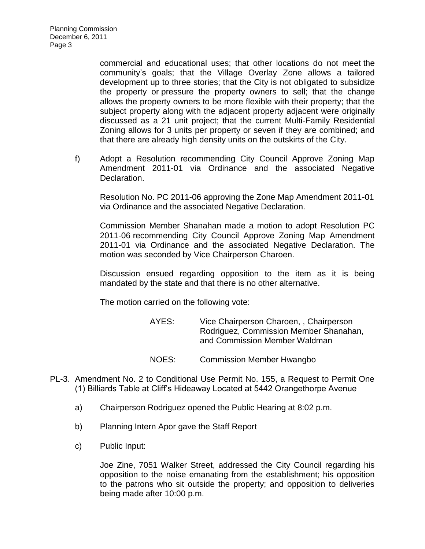commercial and educational uses; that other locations do not meet the community's goals; that the Village Overlay Zone allows a tailored development up to three stories; that the City is not obligated to subsidize the property or pressure the property owners to sell; that the change allows the property owners to be more flexible with their property; that the subject property along with the adjacent property adjacent were originally discussed as a 21 unit project; that the current Multi-Family Residential Zoning allows for 3 units per property or seven if they are combined; and that there are already high density units on the outskirts of the City.

f) [Adopt a Resolution recommending City Council Approve Zoning Map](http://lapalma.granicus.com/MediaPlayerFrameHandler.php?view_id=&clip_id=629&meta_id=80606)  [Amendment 2011-01 via Ordinance and the associated Negative](http://lapalma.granicus.com/MediaPlayerFrameHandler.php?view_id=&clip_id=629&meta_id=80606)  [Declaration.](http://lapalma.granicus.com/MediaPlayerFrameHandler.php?view_id=&clip_id=629&meta_id=80606)

Resolution No. PC 2011-06 approving the Zone Map Amendment 2011-01 via Ordinance and the associated Negative Declaration.

Commission Member Shanahan made a motion to adopt Resolution PC 2011-06 recommending City Council Approve Zoning Map Amendment 2011-01 via Ordinance and the associated Negative Declaration. The motion was seconded by Vice Chairperson Charoen.

Discussion ensued regarding opposition to the item as it is being mandated by the state and that there is no other alternative.

The motion carried on the following vote:

| AYES: | Vice Chairperson Charoen, , Chairperson |
|-------|-----------------------------------------|
|       | Rodriguez, Commission Member Shanahan,  |
|       | and Commission Member Waldman           |
|       |                                         |

- NOES: Commission Member Hwangbo
- PL-3. [Amendment No. 2 to Conditional Use Permit No. 155, a Request to Permit One](http://lapalma.granicus.com/MediaPlayerFrameHandler.php?view_id=&clip_id=629&meta_id=80608)  [\(1\) Billiards Table at Cliff's Hideaway Located at 5442 Orangethorpe Avenue](http://lapalma.granicus.com/MediaPlayerFrameHandler.php?view_id=&clip_id=629&meta_id=80608) 
	- a) [Chairperson Rodriguez opened the Public Hearing at 8:02 p.m.](http://lapalma.granicus.com/MediaPlayerFrameHandler.php?view_id=&clip_id=629&meta_id=80609)
	- b) [Planning Intern Apor gave the Staff Report](http://lapalma.granicus.com/MediaPlayerFrameHandler.php?view_id=&clip_id=629&meta_id=80610)
	- c) [Public Input:](http://lapalma.granicus.com/MediaPlayerFrameHandler.php?view_id=&clip_id=629&meta_id=80611)

Joe Zine, 7051 Walker Street, addressed the City Council regarding his opposition to the noise emanating from the establishment; his opposition to the patrons who sit outside the property; and opposition to deliveries being made after 10:00 p.m.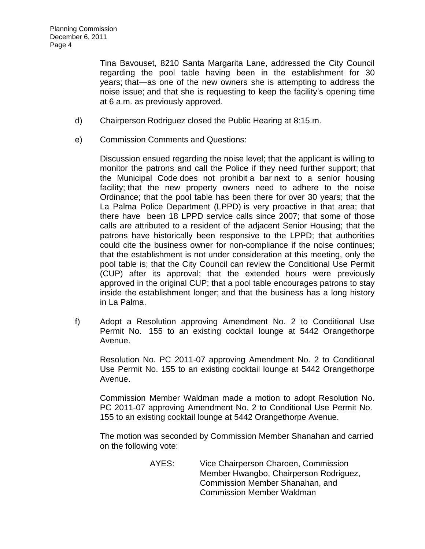Tina Bavouset, 8210 Santa Margarita Lane, addressed the City Council regarding the pool table having been in the establishment for 30 years; that—as one of the new owners she is attempting to address the noise issue; and that she is requesting to keep the facility's opening time at 6 a.m. as previously approved.

- d) [Chairperson Rodriguez closed the Public Hearing at 8:15.m.](http://lapalma.granicus.com/MediaPlayerFrameHandler.php?view_id=&clip_id=629&meta_id=80612)
- e) [Commission Comments and Questions:](http://lapalma.granicus.com/MediaPlayerFrameHandler.php?view_id=&clip_id=629&meta_id=80613)

Discussion ensued regarding the noise level; that the applicant is willing to monitor the patrons and call the Police if they need further support; that the Municipal Code does not prohibit a bar next to a senior housing facility; that the new property owners need to adhere to the noise Ordinance; that the pool table has been there for over 30 years; that the La Palma Police Department (LPPD) is very proactive in that area; that there have been 18 LPPD service calls since 2007; that some of those calls are attributed to a resident of the adjacent Senior Housing; that the patrons have historically been responsive to the LPPD; that authorities could cite the business owner for non-compliance if the noise continues; that the establishment is not under consideration at this meeting, only the pool table is; that the City Council can review the Conditional Use Permit (CUP) after its approval; that the extended hours were previously approved in the original CUP; that a pool table encourages patrons to stay inside the establishment longer; and that the business has a long history in La Palma.

f) Adopt a Resolution approving Amendment No. 2 to Conditional Use Permit No. 155 to an existing cocktail lounge at 5442 Orangethorpe Avenue.

Resolution No. PC 2011-07 approving Amendment No. 2 to Conditional Use Permit No. 155 to an existing cocktail lounge at 5442 Orangethorpe Avenue.

Commission Member Waldman made a motion to adopt Resolution No. PC 2011-07 approving Amendment No. 2 to Conditional Use Permit No. 155 to an existing cocktail lounge at 5442 Orangethorpe Avenue.

The motion was seconded by Commission Member Shanahan and carried on the following vote:

> AYES: Vice Chairperson Charoen, Commission Member Hwangbo, Chairperson Rodriguez, Commission Member Shanahan, and Commission Member Waldman